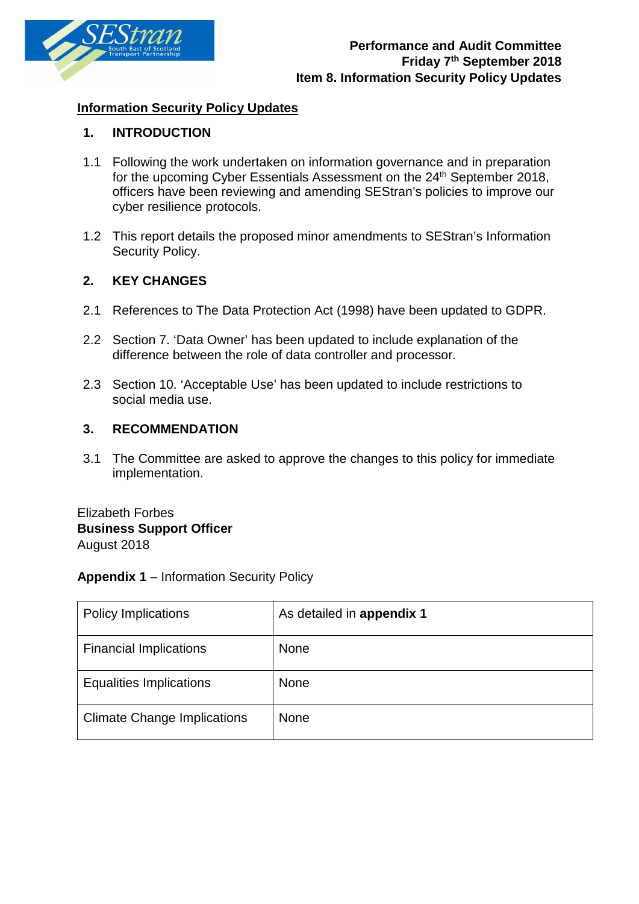

# **Information Security Policy Updates**

## **1. INTRODUCTION**

- 1.1 Following the work undertaken on information governance and in preparation for the upcoming Cyber Essentials Assessment on the 24<sup>th</sup> September 2018, officers have been reviewing and amending SEStran's policies to improve our cyber resilience protocols.
- 1.2 This report details the proposed minor amendments to SEStran's Information Security Policy.

# **2. KEY CHANGES**

- 2.1 References to The Data Protection Act (1998) have been updated to GDPR.
- 2.2 Section 7. 'Data Owner' has been updated to include explanation of the difference between the role of data controller and processor.
- 2.3 Section 10. 'Acceptable Use' has been updated to include restrictions to social media use.

## **3. RECOMMENDATION**

3.1 The Committee are asked to approve the changes to this policy for immediate implementation.

Elizabeth Forbes **Business Support Officer**  August 2018

## **Appendix 1** – Information Security Policy

| <b>Policy Implications</b>         | As detailed in appendix 1 |
|------------------------------------|---------------------------|
| <b>Financial Implications</b>      | <b>None</b>               |
| <b>Equalities Implications</b>     | None                      |
| <b>Climate Change Implications</b> | <b>None</b>               |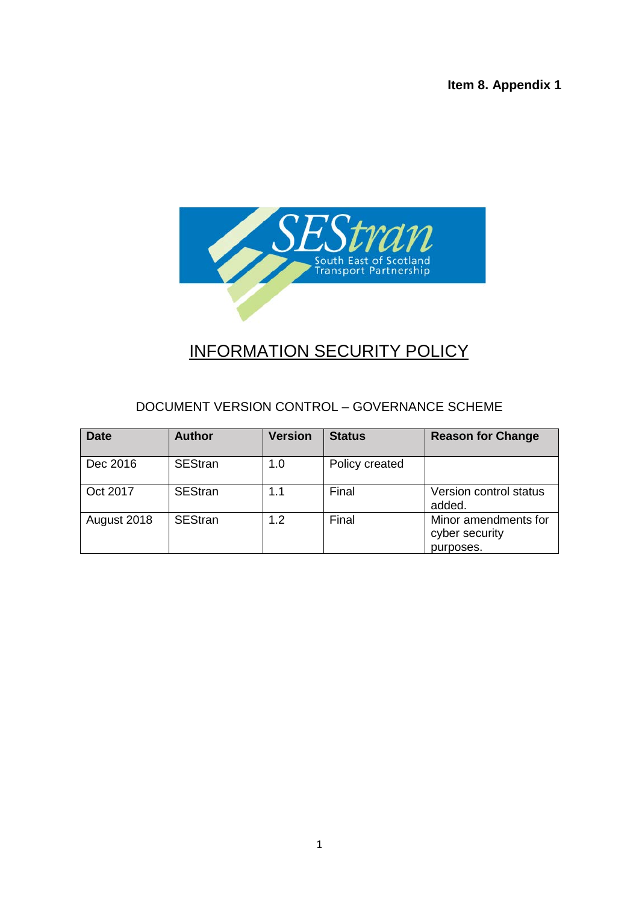**Item 8. Appendix 1**



# INFORMATION SECURITY POLICY

# DOCUMENT VERSION CONTROL – GOVERNANCE SCHEME

| <b>Date</b> | <b>Author</b>  | <b>Version</b> | <b>Status</b>  | <b>Reason for Change</b>                            |
|-------------|----------------|----------------|----------------|-----------------------------------------------------|
| Dec 2016    | <b>SEStran</b> | 1.0            | Policy created |                                                     |
| Oct 2017    | <b>SEStran</b> | 1.1            | Final          | Version control status<br>added.                    |
| August 2018 | <b>SEStran</b> | 1.2            | Final          | Minor amendments for<br>cyber security<br>purposes. |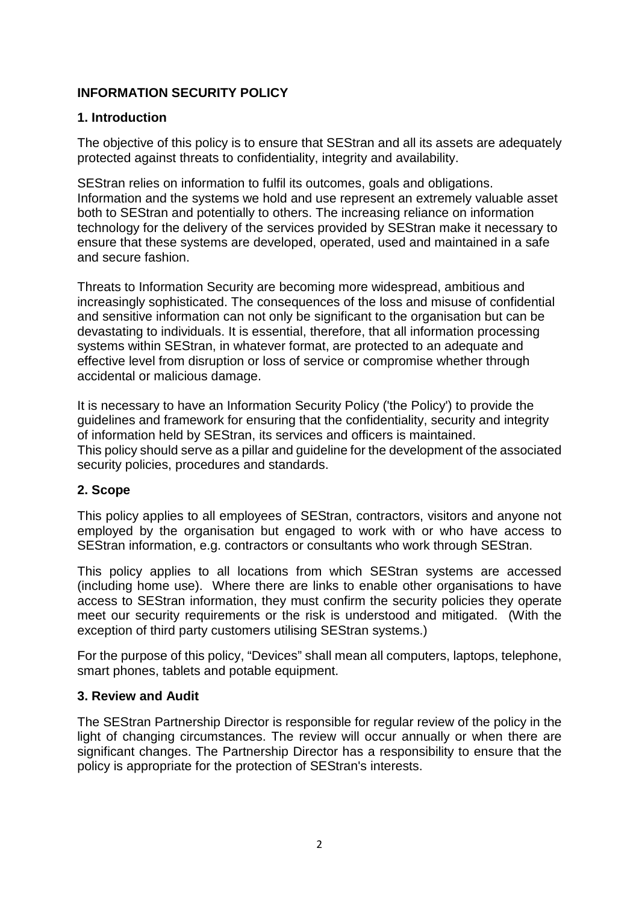# **INFORMATION SECURITY POLICY**

## **1. Introduction**

The objective of this policy is to ensure that SEStran and all its assets are adequately protected against threats to confidentiality, integrity and availability.

SEStran relies on information to fulfil its outcomes, goals and obligations. Information and the systems we hold and use represent an extremely valuable asset both to SEStran and potentially to others. The increasing reliance on information technology for the delivery of the services provided by SEStran make it necessary to ensure that these systems are developed, operated, used and maintained in a safe and secure fashion.

Threats to Information Security are becoming more widespread, ambitious and increasingly sophisticated. The consequences of the loss and misuse of confidential and sensitive information can not only be significant to the organisation but can be devastating to individuals. It is essential, therefore, that all information processing systems within SEStran, in whatever format, are protected to an adequate and effective level from disruption or loss of service or compromise whether through accidental or malicious damage.

It is necessary to have an Information Security Policy ('the Policy') to provide the guidelines and framework for ensuring that the confidentiality, security and integrity of information held by SEStran, its services and officers is maintained. This policy should serve as a pillar and guideline for the development of the associated security policies, procedures and standards.

# **2. Scope**

This policy applies to all employees of SEStran, contractors, visitors and anyone not employed by the organisation but engaged to work with or who have access to SEStran information, e.g. contractors or consultants who work through SEStran.

This policy applies to all locations from which SEStran systems are accessed (including home use). Where there are links to enable other organisations to have access to SEStran information, they must confirm the security policies they operate meet our security requirements or the risk is understood and mitigated. (With the exception of third party customers utilising SEStran systems.)

For the purpose of this policy, "Devices" shall mean all computers, laptops, telephone, smart phones, tablets and potable equipment.

# **3. Review and Audit**

The SEStran Partnership Director is responsible for regular review of the policy in the light of changing circumstances. The review will occur annually or when there are significant changes. The Partnership Director has a responsibility to ensure that the policy is appropriate for the protection of SEStran's interests.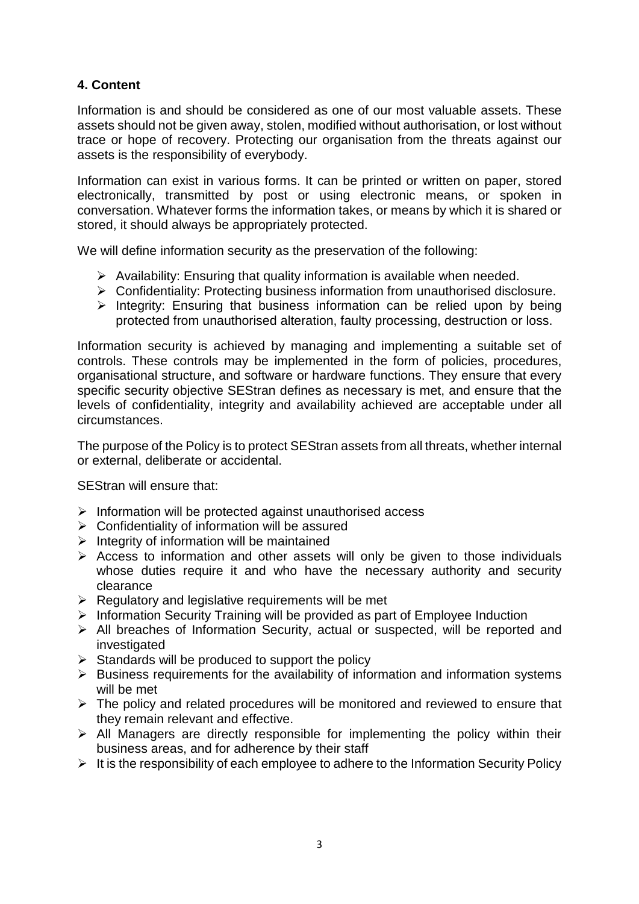# **4. Content**

Information is and should be considered as one of our most valuable assets. These assets should not be given away, stolen, modified without authorisation, or lost without trace or hope of recovery. Protecting our organisation from the threats against our assets is the responsibility of everybody.

Information can exist in various forms. It can be printed or written on paper, stored electronically, transmitted by post or using electronic means, or spoken in conversation. Whatever forms the information takes, or means by which it is shared or stored, it should always be appropriately protected.

We will define information security as the preservation of the following:

- $\triangleright$  Availability: Ensuring that quality information is available when needed.
- Confidentiality: Protecting business information from unauthorised disclosure.
- $\triangleright$  Integrity: Ensuring that business information can be relied upon by being protected from unauthorised alteration, faulty processing, destruction or loss.

Information security is achieved by managing and implementing a suitable set of controls. These controls may be implemented in the form of policies, procedures, organisational structure, and software or hardware functions. They ensure that every specific security objective SEStran defines as necessary is met, and ensure that the levels of confidentiality, integrity and availability achieved are acceptable under all circumstances.

The purpose of the Policy is to protect SEStran assets from all threats, whether internal or external, deliberate or accidental.

SEStran will ensure that:

- $\triangleright$  Information will be protected against unauthorised access
- $\triangleright$  Confidentiality of information will be assured
- $\triangleright$  Integrity of information will be maintained
- $\triangleright$  Access to information and other assets will only be given to those individuals whose duties require it and who have the necessary authority and security clearance
- $\triangleright$  Regulatory and legislative requirements will be met
- $\triangleright$  Information Security Training will be provided as part of Employee Induction
- $\triangleright$  All breaches of Information Security, actual or suspected, will be reported and investigated
- $\triangleright$  Standards will be produced to support the policy
- $\triangleright$  Business requirements for the availability of information and information systems will be met
- $\triangleright$  The policy and related procedures will be monitored and reviewed to ensure that they remain relevant and effective.
- $\triangleright$  All Managers are directly responsible for implementing the policy within their business areas, and for adherence by their staff
- $\triangleright$  It is the responsibility of each employee to adhere to the Information Security Policy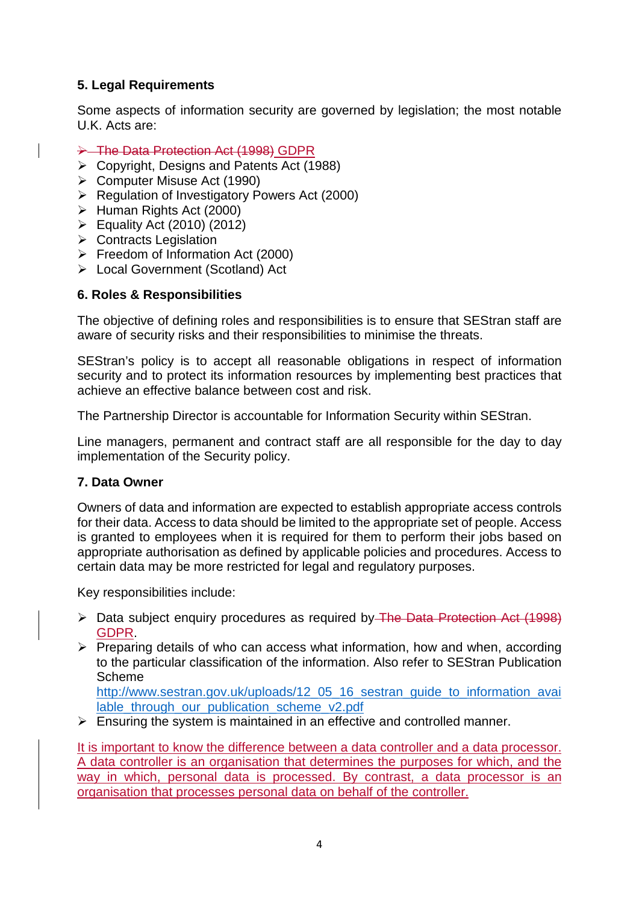# **5. Legal Requirements**

Some aspects of information security are governed by legislation; the most notable U.K. Acts are:

- → The Data Protection Act (1998) GDPR
- $\triangleright$  Copyright, Designs and Patents Act (1988)
- Computer Misuse Act (1990)
- Regulation of Investigatory Powers Act (2000)
- $\triangleright$  Human Rights Act (2000)
- Equality Act (2010) (2012)
- **▶ Contracts Legislation**
- $\triangleright$  Freedom of Information Act (2000)
- Local Government (Scotland) Act

## **6. Roles & Responsibilities**

The objective of defining roles and responsibilities is to ensure that SEStran staff are aware of security risks and their responsibilities to minimise the threats.

SEStran's policy is to accept all reasonable obligations in respect of information security and to protect its information resources by implementing best practices that achieve an effective balance between cost and risk.

The Partnership Director is accountable for Information Security within SEStran.

Line managers, permanent and contract staff are all responsible for the day to day implementation of the Security policy.

## **7. Data Owner**

Owners of data and information are expected to establish appropriate access controls for their data. Access to data should be limited to the appropriate set of people. Access is granted to employees when it is required for them to perform their jobs based on appropriate authorisation as defined by applicable policies and procedures. Access to certain data may be more restricted for legal and regulatory purposes.

Key responsibilities include:

- ▶ Data subject enquiry procedures as required by The Data Protection Act (1998) GDPR.
- $\triangleright$  Preparing details of who can access what information, how and when, according to the particular classification of the information. Also refer to SEStran Publication Scheme

[http://www.sestran.gov.uk/uploads/12\\_05\\_16\\_sestran\\_guide\\_to\\_information\\_avai](http://www.sestran.gov.uk/uploads/12_05_16_sestran_guide_to_information_available_through_our_publication_scheme_v2.pdf) [lable\\_through\\_our\\_publication\\_scheme\\_v2.pdf](http://www.sestran.gov.uk/uploads/12_05_16_sestran_guide_to_information_available_through_our_publication_scheme_v2.pdf)

 $\triangleright$  Ensuring the system is maintained in an effective and controlled manner.

It is important to know the difference between a data controller and a data processor. A data controller is an organisation that determines the purposes for which, and the way in which, personal data is processed. By contrast, a data processor is an organisation that processes personal data on behalf of the controller.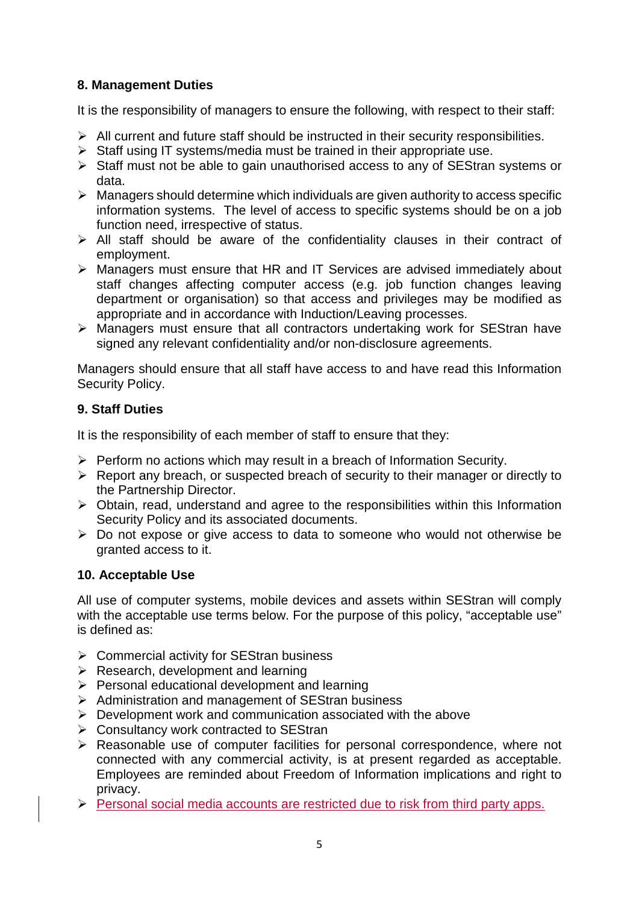# **8. Management Duties**

It is the responsibility of managers to ensure the following, with respect to their staff:

- $\triangleright$  All current and future staff should be instructed in their security responsibilities.
- $\triangleright$  Staff using IT systems/media must be trained in their appropriate use.
- $\triangleright$  Staff must not be able to gain unauthorised access to any of SEStran systems or data.
- $\triangleright$  Managers should determine which individuals are given authority to access specific information systems. The level of access to specific systems should be on a job function need, irrespective of status.
- $\triangleright$  All staff should be aware of the confidentiality clauses in their contract of employment.
- Managers must ensure that HR and IT Services are advised immediately about staff changes affecting computer access (e.g. job function changes leaving department or organisation) so that access and privileges may be modified as appropriate and in accordance with Induction/Leaving processes.
- $\triangleright$  Managers must ensure that all contractors undertaking work for SEStran have signed any relevant confidentiality and/or non-disclosure agreements.

Managers should ensure that all staff have access to and have read this Information Security Policy.

# **9. Staff Duties**

It is the responsibility of each member of staff to ensure that they:

- $\triangleright$  Perform no actions which may result in a breach of Information Security.
- $\triangleright$  Report any breach, or suspected breach of security to their manager or directly to the Partnership Director.
- $\triangleright$  Obtain, read, understand and agree to the responsibilities within this Information Security Policy and its associated documents.
- Do not expose or give access to data to someone who would not otherwise be granted access to it.

# **10. Acceptable Use**

All use of computer systems, mobile devices and assets within SEStran will comply with the acceptable use terms below. For the purpose of this policy, "acceptable use" is defined as:

- $\triangleright$  Commercial activity for SEStran business
- $\triangleright$  Research, development and learning
- $\triangleright$  Personal educational development and learning
- $\triangleright$  Administration and management of SEStran business
- $\triangleright$  Development work and communication associated with the above
- $\triangleright$  Consultancy work contracted to SEStran
- $\triangleright$  Reasonable use of computer facilities for personal correspondence, where not connected with any commercial activity, is at present regarded as acceptable. Employees are reminded about Freedom of Information implications and right to privacy.
- $\triangleright$  Personal social media accounts are restricted due to risk from third party apps.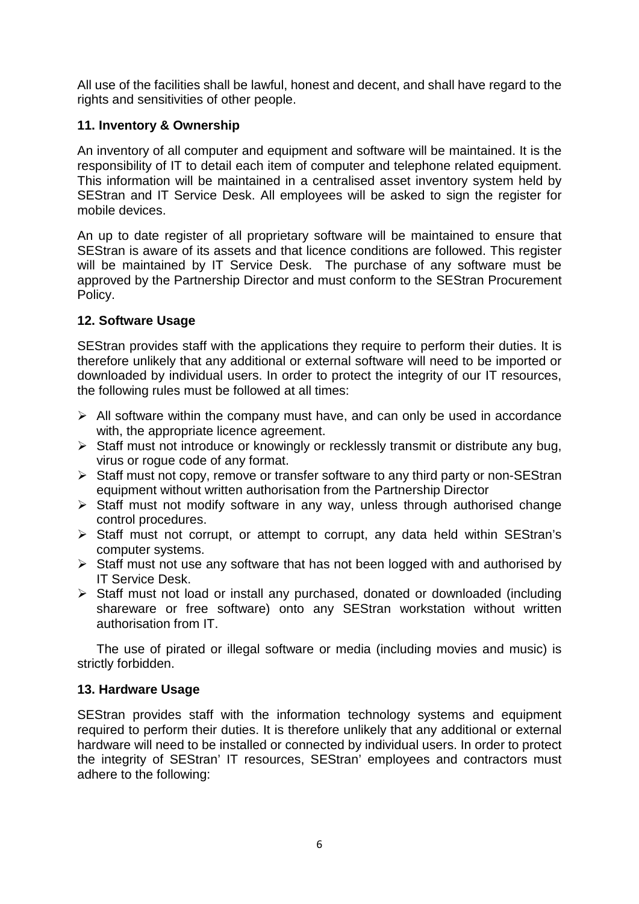All use of the facilities shall be lawful, honest and decent, and shall have regard to the rights and sensitivities of other people.

# **11. Inventory & Ownership**

An inventory of all computer and equipment and software will be maintained. It is the responsibility of IT to detail each item of computer and telephone related equipment. This information will be maintained in a centralised asset inventory system held by SEStran and IT Service Desk. All employees will be asked to sign the register for mobile devices.

An up to date register of all proprietary software will be maintained to ensure that SEStran is aware of its assets and that licence conditions are followed. This register will be maintained by IT Service Desk. The purchase of any software must be approved by the Partnership Director and must conform to the SEStran Procurement Policy.

# **12. Software Usage**

SEStran provides staff with the applications they require to perform their duties. It is therefore unlikely that any additional or external software will need to be imported or downloaded by individual users. In order to protect the integrity of our IT resources, the following rules must be followed at all times:

- $\triangleright$  All software within the company must have, and can only be used in accordance with, the appropriate licence agreement.
- $\triangleright$  Staff must not introduce or knowingly or recklessly transmit or distribute any bug. virus or rogue code of any format.
- $\triangleright$  Staff must not copy, remove or transfer software to any third party or non-SEStran equipment without written authorisation from the Partnership Director
- $\triangleright$  Staff must not modify software in any way, unless through authorised change control procedures.
- Staff must not corrupt, or attempt to corrupt, any data held within SEStran's computer systems.
- $\triangleright$  Staff must not use any software that has not been logged with and authorised by IT Service Desk.
- $\triangleright$  Staff must not load or install any purchased, donated or downloaded (including shareware or free software) onto any SEStran workstation without written authorisation from IT.

The use of pirated or illegal software or media (including movies and music) is strictly forbidden.

# **13. Hardware Usage**

SEStran provides staff with the information technology systems and equipment required to perform their duties. It is therefore unlikely that any additional or external hardware will need to be installed or connected by individual users. In order to protect the integrity of SEStran' IT resources, SEStran' employees and contractors must adhere to the following: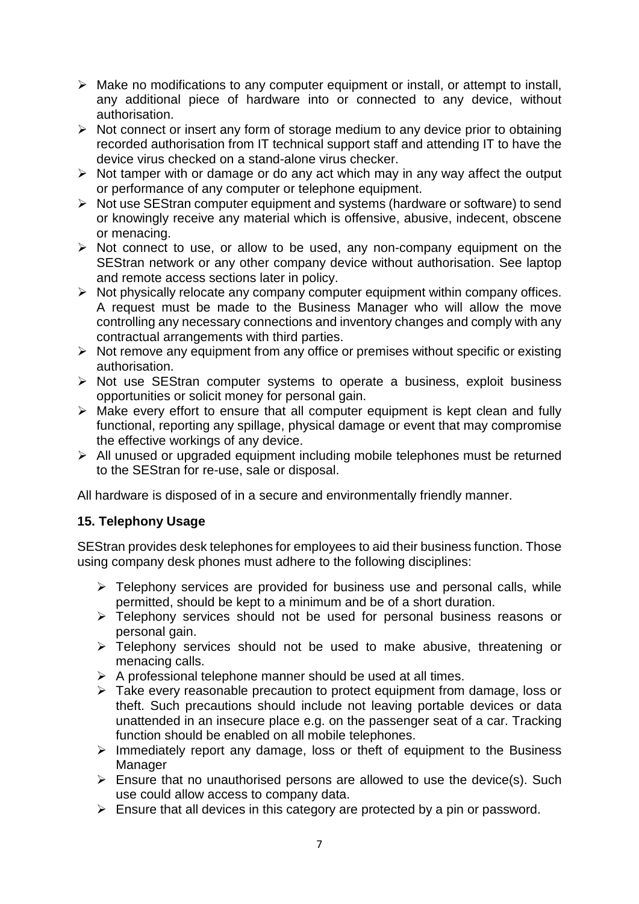- $\triangleright$  Make no modifications to any computer equipment or install, or attempt to install, any additional piece of hardware into or connected to any device, without authorisation.
- $\triangleright$  Not connect or insert any form of storage medium to any device prior to obtaining recorded authorisation from IT technical support staff and attending IT to have the device virus checked on a stand-alone virus checker.
- $\triangleright$  Not tamper with or damage or do any act which may in any way affect the output or performance of any computer or telephone equipment.
- $\triangleright$  Not use SEStran computer equipment and systems (hardware or software) to send or knowingly receive any material which is offensive, abusive, indecent, obscene or menacing.
- $\triangleright$  Not connect to use, or allow to be used, any non-company equipment on the SEStran network or any other company device without authorisation. See laptop and remote access sections later in policy.
- $\triangleright$  Not physically relocate any company computer equipment within company offices. A request must be made to the Business Manager who will allow the move controlling any necessary connections and inventory changes and comply with any contractual arrangements with third parties.
- $\triangleright$  Not remove any equipment from any office or premises without specific or existing authorisation.
- $\triangleright$  Not use SEStran computer systems to operate a business, exploit business opportunities or solicit money for personal gain.
- $\triangleright$  Make every effort to ensure that all computer equipment is kept clean and fully functional, reporting any spillage, physical damage or event that may compromise the effective workings of any device.
- $\triangleright$  All unused or upgraded equipment including mobile telephones must be returned to the SEStran for re-use, sale or disposal.

All hardware is disposed of in a secure and environmentally friendly manner.

# **15. Telephony Usage**

SEStran provides desk telephones for employees to aid their business function. Those using company desk phones must adhere to the following disciplines:

- $\triangleright$  Telephony services are provided for business use and personal calls, while permitted, should be kept to a minimum and be of a short duration.
- > Telephony services should not be used for personal business reasons or personal gain.
- > Telephony services should not be used to make abusive, threatening or menacing calls.
- $\triangleright$  A professional telephone manner should be used at all times.
- Take every reasonable precaution to protect equipment from damage, loss or theft. Such precautions should include not leaving portable devices or data unattended in an insecure place e.g. on the passenger seat of a car. Tracking function should be enabled on all mobile telephones.
- $\triangleright$  Immediately report any damage, loss or theft of equipment to the Business **Manager**
- $\triangleright$  Ensure that no unauthorised persons are allowed to use the device(s). Such use could allow access to company data.
- $\triangleright$  Ensure that all devices in this category are protected by a pin or password.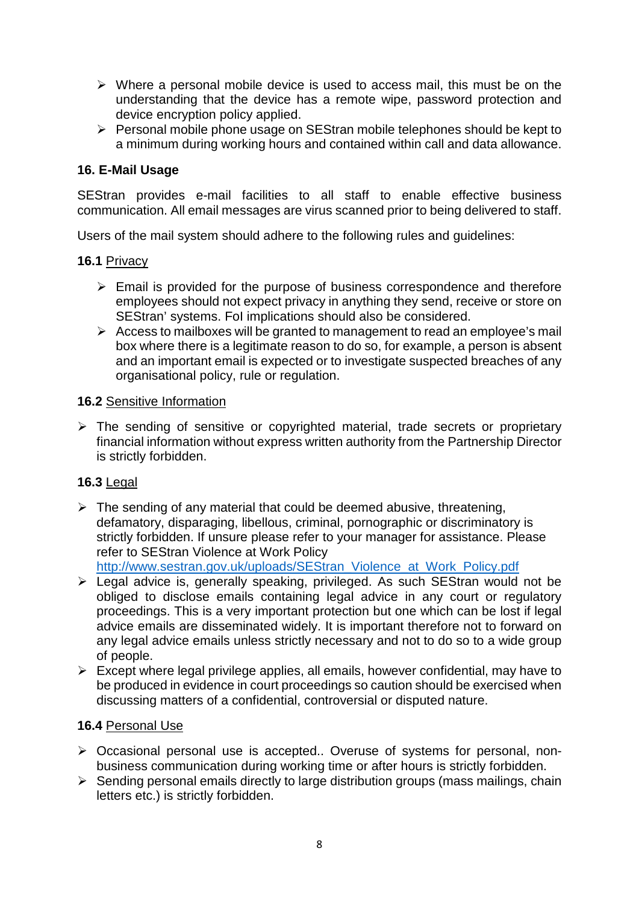- $\triangleright$  Where a personal mobile device is used to access mail, this must be on the understanding that the device has a remote wipe, password protection and device encryption policy applied.
- $\triangleright$  Personal mobile phone usage on SEStran mobile telephones should be kept to a minimum during working hours and contained within call and data allowance.

# **16. E-Mail Usage**

SEStran provides e-mail facilities to all staff to enable effective business communication. All email messages are virus scanned prior to being delivered to staff.

Users of the mail system should adhere to the following rules and guidelines:

## **16.1** Privacy

- $\triangleright$  Email is provided for the purpose of business correspondence and therefore employees should not expect privacy in anything they send, receive or store on SEStran' systems. FoI implications should also be considered.
- $\triangleright$  Access to mailboxes will be granted to management to read an employee's mail box where there is a legitimate reason to do so, for example, a person is absent and an important email is expected or to investigate suspected breaches of any organisational policy, rule or regulation.

## **16.2** Sensitive Information

 $\triangleright$  The sending of sensitive or copyrighted material, trade secrets or proprietary financial information without express written authority from the Partnership Director is strictly forbidden.

# **16.3** Legal

 $\triangleright$  The sending of any material that could be deemed abusive, threatening, defamatory, disparaging, libellous, criminal, pornographic or discriminatory is strictly forbidden. If unsure please refer to your manager for assistance. Please refer to SEStran Violence at Work Policy

[http://www.sestran.gov.uk/uploads/SEStran\\_Violence\\_at\\_Work\\_Policy.pdf](http://www.sestran.gov.uk/uploads/SEStran_Violence_at_Work_Policy.pdf)

- Legal advice is, generally speaking, privileged. As such SEStran would not be obliged to disclose emails containing legal advice in any court or regulatory proceedings. This is a very important protection but one which can be lost if legal advice emails are disseminated widely. It is important therefore not to forward on any legal advice emails unless strictly necessary and not to do so to a wide group of people.
- $\triangleright$  Except where legal privilege applies, all emails, however confidential, may have to be produced in evidence in court proceedings so caution should be exercised when discussing matters of a confidential, controversial or disputed nature.

## **16.4** Personal Use

- Occasional personal use is accepted.. Overuse of systems for personal, nonbusiness communication during working time or after hours is strictly forbidden.
- $\triangleright$  Sending personal emails directly to large distribution groups (mass mailings, chain letters etc.) is strictly forbidden.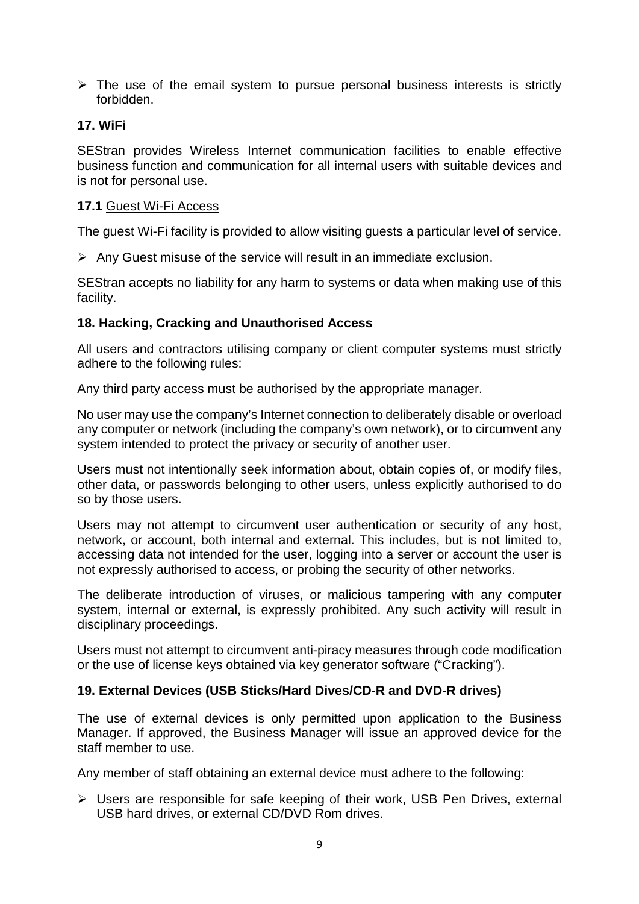$\triangleright$  The use of the email system to pursue personal business interests is strictly forbidden.

## **17. WiFi**

SEStran provides Wireless Internet communication facilities to enable effective business function and communication for all internal users with suitable devices and is not for personal use.

## **17.1** Guest Wi-Fi Access

The guest Wi-Fi facility is provided to allow visiting guests a particular level of service.

 $\triangleright$  Any Guest misuse of the service will result in an immediate exclusion.

SEStran accepts no liability for any harm to systems or data when making use of this facility.

## **18. Hacking, Cracking and Unauthorised Access**

All users and contractors utilising company or client computer systems must strictly adhere to the following rules:

Any third party access must be authorised by the appropriate manager.

No user may use the company's Internet connection to deliberately disable or overload any computer or network (including the company's own network), or to circumvent any system intended to protect the privacy or security of another user.

Users must not intentionally seek information about, obtain copies of, or modify files, other data, or passwords belonging to other users, unless explicitly authorised to do so by those users.

Users may not attempt to circumvent user authentication or security of any host, network, or account, both internal and external. This includes, but is not limited to, accessing data not intended for the user, logging into a server or account the user is not expressly authorised to access, or probing the security of other networks.

The deliberate introduction of viruses, or malicious tampering with any computer system, internal or external, is expressly prohibited. Any such activity will result in disciplinary proceedings.

Users must not attempt to circumvent anti-piracy measures through code modification or the use of license keys obtained via key generator software ("Cracking").

## **19. External Devices (USB Sticks/Hard Dives/CD-R and DVD-R drives)**

The use of external devices is only permitted upon application to the Business Manager. If approved, the Business Manager will issue an approved device for the staff member to use.

Any member of staff obtaining an external device must adhere to the following:

 Users are responsible for safe keeping of their work, USB Pen Drives, external USB hard drives, or external CD/DVD Rom drives.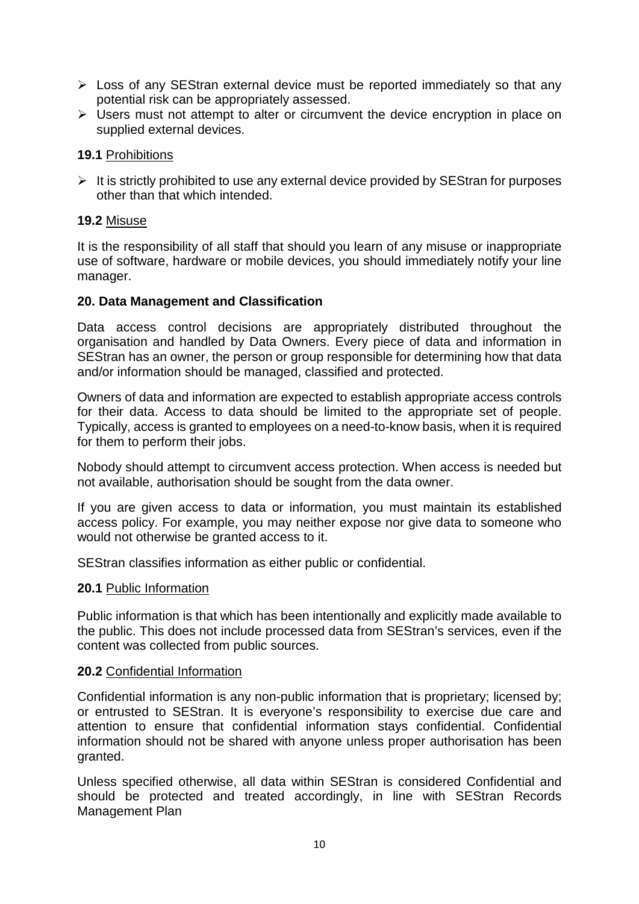- $\triangleright$  Loss of any SEStran external device must be reported immediately so that any potential risk can be appropriately assessed.
- $\triangleright$  Users must not attempt to alter or circumvent the device encryption in place on supplied external devices.

## **19.1** Prohibitions

 $\triangleright$  It is strictly prohibited to use any external device provided by SEStran for purposes other than that which intended.

## **19.2** Misuse

It is the responsibility of all staff that should you learn of any misuse or inappropriate use of software, hardware or mobile devices, you should immediately notify your line manager.

## **20. Data Management and Classification**

Data access control decisions are appropriately distributed throughout the organisation and handled by Data Owners. Every piece of data and information in SEStran has an owner, the person or group responsible for determining how that data and/or information should be managed, classified and protected.

Owners of data and information are expected to establish appropriate access controls for their data. Access to data should be limited to the appropriate set of people. Typically, access is granted to employees on a need-to-know basis, when it is required for them to perform their jobs.

Nobody should attempt to circumvent access protection. When access is needed but not available, authorisation should be sought from the data owner.

If you are given access to data or information, you must maintain its established access policy. For example, you may neither expose nor give data to someone who would not otherwise be granted access to it.

SEStran classifies information as either public or confidential.

## **20.1** Public Information

Public information is that which has been intentionally and explicitly made available to the public. This does not include processed data from SEStran's services, even if the content was collected from public sources.

## **20.2** Confidential Information

Confidential information is any non-public information that is proprietary; licensed by; or entrusted to SEStran. It is everyone's responsibility to exercise due care and attention to ensure that confidential information stays confidential. Confidential information should not be shared with anyone unless proper authorisation has been granted.

Unless specified otherwise, all data within SEStran is considered Confidential and should be protected and treated accordingly, in line with SEStran Records Management Plan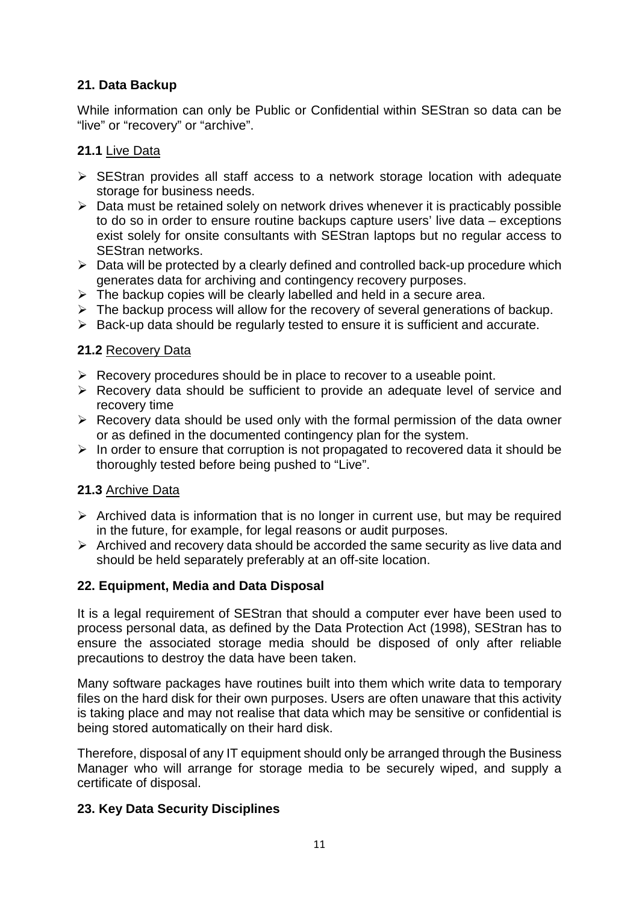# **21. Data Backup**

While information can only be Public or Confidential within SEStran so data can be "live" or "recovery" or "archive".

# **21.1** Live Data

- $\triangleright$  SEStran provides all staff access to a network storage location with adequate storage for business needs.
- $\triangleright$  Data must be retained solely on network drives whenever it is practicably possible to do so in order to ensure routine backups capture users' live data – exceptions exist solely for onsite consultants with SEStran laptops but no regular access to SEStran networks.
- $\triangleright$  Data will be protected by a clearly defined and controlled back-up procedure which generates data for archiving and contingency recovery purposes.
- $\triangleright$  The backup copies will be clearly labelled and held in a secure area.
- $\triangleright$  The backup process will allow for the recovery of several generations of backup.
- $\triangleright$  Back-up data should be regularly tested to ensure it is sufficient and accurate.

## **21.2** Recovery Data

- $\triangleright$  Recovery procedures should be in place to recover to a useable point.
- $\triangleright$  Recovery data should be sufficient to provide an adequate level of service and recovery time
- $\triangleright$  Recovery data should be used only with the formal permission of the data owner or as defined in the documented contingency plan for the system.
- $\triangleright$  In order to ensure that corruption is not propagated to recovered data it should be thoroughly tested before being pushed to "Live".

# **21.3** Archive Data

- $\triangleright$  Archived data is information that is no longer in current use, but may be required in the future, for example, for legal reasons or audit purposes.
- $\triangleright$  Archived and recovery data should be accorded the same security as live data and should be held separately preferably at an off-site location.

# **22. Equipment, Media and Data Disposal**

It is a legal requirement of SEStran that should a computer ever have been used to process personal data, as defined by the Data Protection Act (1998), SEStran has to ensure the associated storage media should be disposed of only after reliable precautions to destroy the data have been taken.

Many software packages have routines built into them which write data to temporary files on the hard disk for their own purposes. Users are often unaware that this activity is taking place and may not realise that data which may be sensitive or confidential is being stored automatically on their hard disk.

Therefore, disposal of any IT equipment should only be arranged through the Business Manager who will arrange for storage media to be securely wiped, and supply a certificate of disposal.

# **23. Key Data Security Disciplines**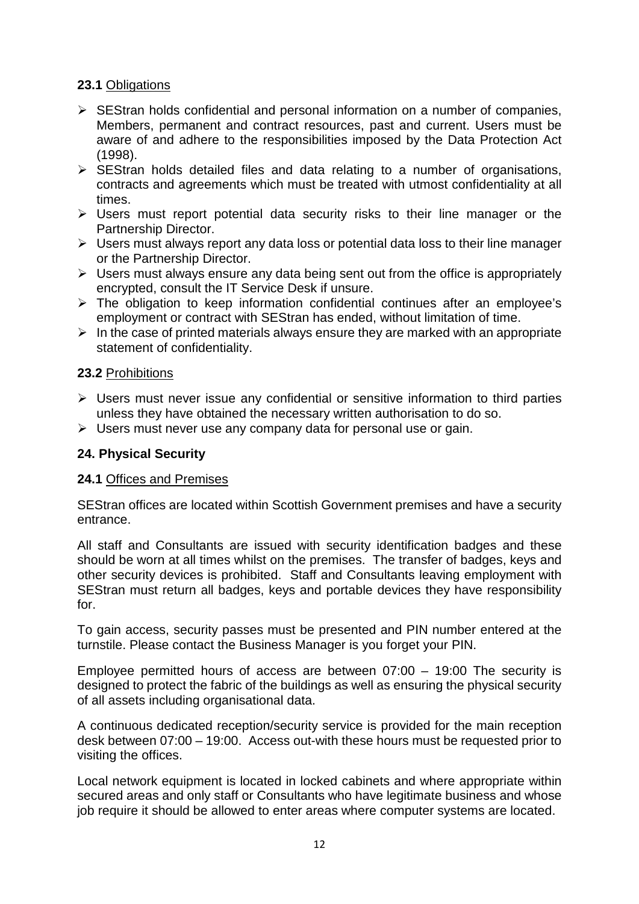## **23.1** Obligations

- $\triangleright$  SEStran holds confidential and personal information on a number of companies, Members, permanent and contract resources, past and current. Users must be aware of and adhere to the responsibilities imposed by the Data Protection Act (1998).
- $\triangleright$  SEStran holds detailed files and data relating to a number of organisations, contracts and agreements which must be treated with utmost confidentiality at all times.
- $\triangleright$  Users must report potential data security risks to their line manager or the Partnership Director.
- $\triangleright$  Users must always report any data loss or potential data loss to their line manager or the Partnership Director.
- $\triangleright$  Users must always ensure any data being sent out from the office is appropriately encrypted, consult the IT Service Desk if unsure.
- $\triangleright$  The obligation to keep information confidential continues after an employee's employment or contract with SEStran has ended, without limitation of time.
- $\triangleright$  In the case of printed materials always ensure they are marked with an appropriate statement of confidentiality.

## **23.2** Prohibitions

- $\triangleright$  Users must never issue any confidential or sensitive information to third parties unless they have obtained the necessary written authorisation to do so.
- $\triangleright$  Users must never use any company data for personal use or gain.

## **24. Physical Security**

## **24.1** Offices and Premises

SEStran offices are located within Scottish Government premises and have a security entrance.

All staff and Consultants are issued with security identification badges and these should be worn at all times whilst on the premises. The transfer of badges, keys and other security devices is prohibited. Staff and Consultants leaving employment with SEStran must return all badges, keys and portable devices they have responsibility for.

To gain access, security passes must be presented and PIN number entered at the turnstile. Please contact the Business Manager is you forget your PIN.

Employee permitted hours of access are between 07:00 – 19:00 The security is designed to protect the fabric of the buildings as well as ensuring the physical security of all assets including organisational data.

A continuous dedicated reception/security service is provided for the main reception desk between 07:00 – 19:00. Access out-with these hours must be requested prior to visiting the offices.

Local network equipment is located in locked cabinets and where appropriate within secured areas and only staff or Consultants who have legitimate business and whose job require it should be allowed to enter areas where computer systems are located.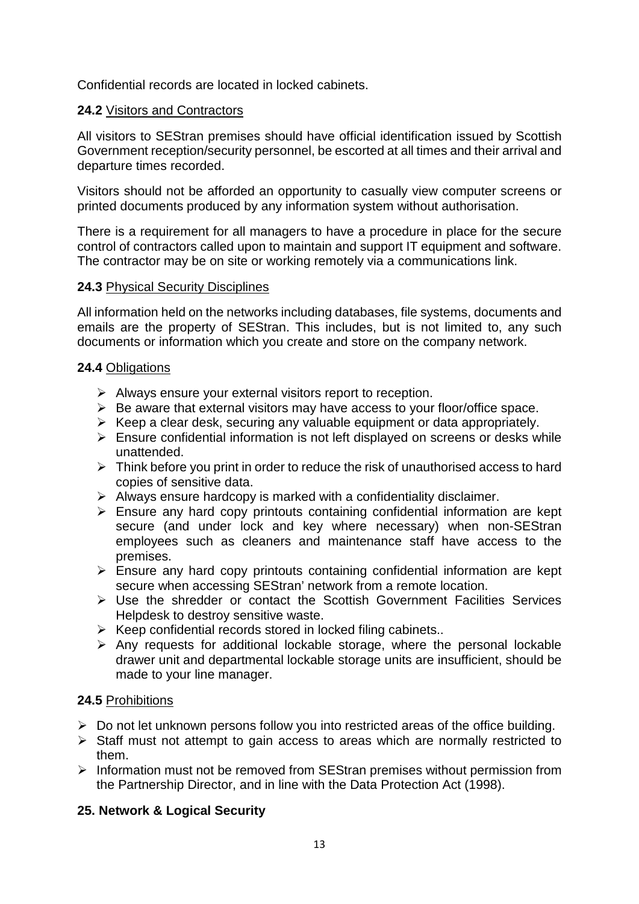Confidential records are located in locked cabinets.

## **24.2** Visitors and Contractors

All visitors to SEStran premises should have official identification issued by Scottish Government reception/security personnel, be escorted at all times and their arrival and departure times recorded.

Visitors should not be afforded an opportunity to casually view computer screens or printed documents produced by any information system without authorisation.

There is a requirement for all managers to have a procedure in place for the secure control of contractors called upon to maintain and support IT equipment and software. The contractor may be on site or working remotely via a communications link.

## **24.3** Physical Security Disciplines

All information held on the networks including databases, file systems, documents and emails are the property of SEStran. This includes, but is not limited to, any such documents or information which you create and store on the company network.

## **24.4** Obligations

- $\triangleright$  Always ensure your external visitors report to reception.
- $\triangleright$  Be aware that external visitors may have access to your floor/office space.
- $\triangleright$  Keep a clear desk, securing any valuable equipment or data appropriately.
- $\triangleright$  Ensure confidential information is not left displayed on screens or desks while unattended.
- $\triangleright$  Think before you print in order to reduce the risk of unauthorised access to hard copies of sensitive data.
- $\triangleright$  Always ensure hardcopy is marked with a confidentiality disclaimer.
- $\triangleright$  Ensure any hard copy printouts containing confidential information are kept secure (and under lock and key where necessary) when non-SEStran employees such as cleaners and maintenance staff have access to the premises.
- $\triangleright$  Ensure any hard copy printouts containing confidential information are kept secure when accessing SEStran' network from a remote location.
- Use the shredder or contact the Scottish Government Facilities Services Helpdesk to destroy sensitive waste.
- $\triangleright$  Keep confidential records stored in locked filing cabinets..
- $\triangleright$  Any requests for additional lockable storage, where the personal lockable drawer unit and departmental lockable storage units are insufficient, should be made to your line manager.

# **24.5** Prohibitions

- $\triangleright$  Do not let unknown persons follow you into restricted areas of the office building.
- $\triangleright$  Staff must not attempt to gain access to areas which are normally restricted to them.
- $\triangleright$  Information must not be removed from SEStran premises without permission from the Partnership Director, and in line with the Data Protection Act (1998).

# **25. Network & Logical Security**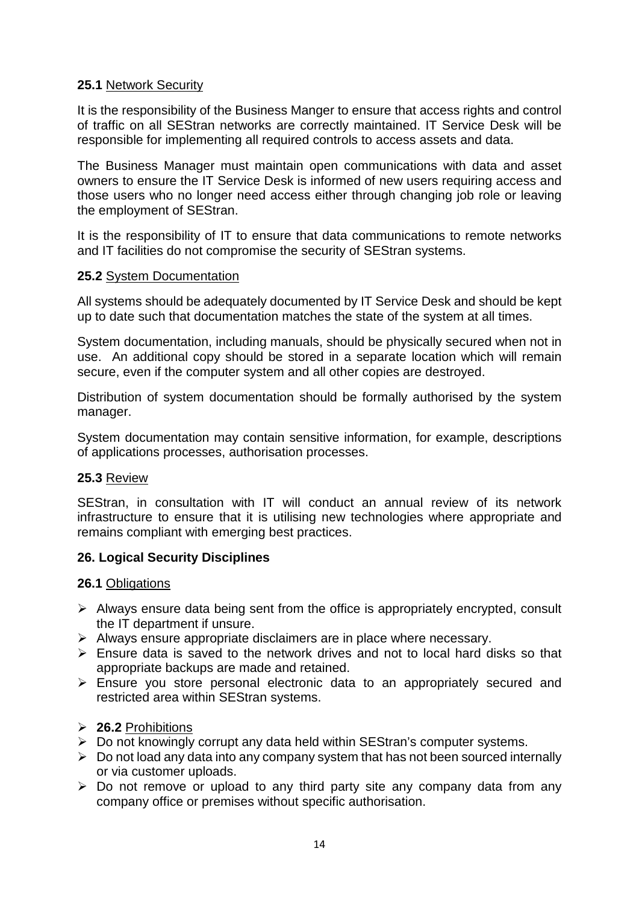## **25.1** Network Security

It is the responsibility of the Business Manger to ensure that access rights and control of traffic on all SEStran networks are correctly maintained. IT Service Desk will be responsible for implementing all required controls to access assets and data.

The Business Manager must maintain open communications with data and asset owners to ensure the IT Service Desk is informed of new users requiring access and those users who no longer need access either through changing job role or leaving the employment of SEStran.

It is the responsibility of IT to ensure that data communications to remote networks and IT facilities do not compromise the security of SEStran systems.

## **25.2** System Documentation

All systems should be adequately documented by IT Service Desk and should be kept up to date such that documentation matches the state of the system at all times.

System documentation, including manuals, should be physically secured when not in use. An additional copy should be stored in a separate location which will remain secure, even if the computer system and all other copies are destroyed.

Distribution of system documentation should be formally authorised by the system manager.

System documentation may contain sensitive information, for example, descriptions of applications processes, authorisation processes.

## **25.3** Review

SEStran, in consultation with IT will conduct an annual review of its network infrastructure to ensure that it is utilising new technologies where appropriate and remains compliant with emerging best practices.

## **26. Logical Security Disciplines**

## **26.1** Obligations

- $\triangleright$  Always ensure data being sent from the office is appropriately encrypted, consult the IT department if unsure.
- $\triangleright$  Always ensure appropriate disclaimers are in place where necessary.
- $\triangleright$  Ensure data is saved to the network drives and not to local hard disks so that appropriate backups are made and retained.
- Ensure you store personal electronic data to an appropriately secured and restricted area within SEStran systems.
- **26.2** Prohibitions
- ▶ Do not knowingly corrupt any data held within SEStran's computer systems.
- $\triangleright$  Do not load any data into any company system that has not been sourced internally or via customer uploads.
- $\triangleright$  Do not remove or upload to any third party site any company data from any company office or premises without specific authorisation.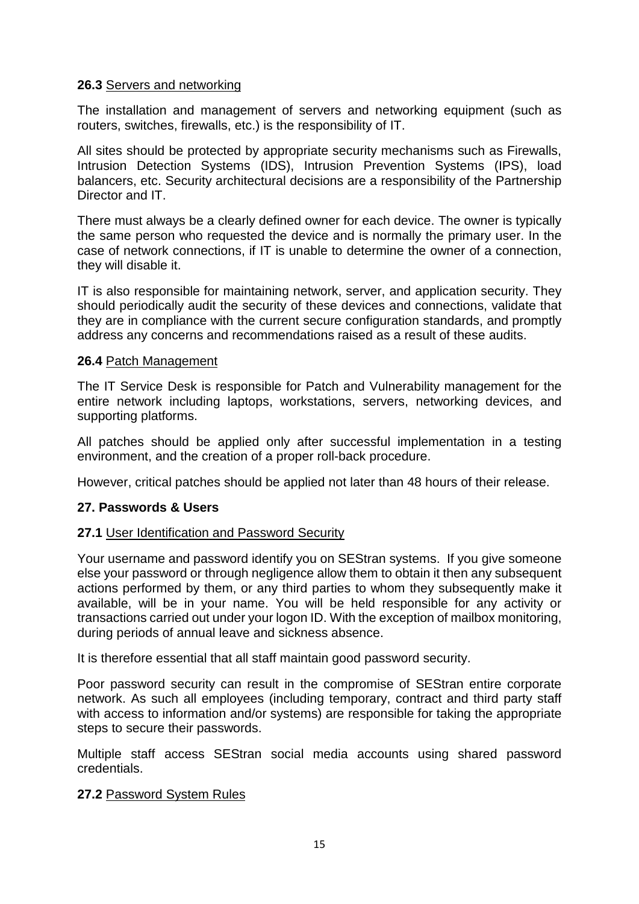## **26.3** Servers and networking

The installation and management of servers and networking equipment (such as routers, switches, firewalls, etc.) is the responsibility of IT.

All sites should be protected by appropriate security mechanisms such as Firewalls, Intrusion Detection Systems (IDS), Intrusion Prevention Systems (IPS), load balancers, etc. Security architectural decisions are a responsibility of the Partnership Director and IT

There must always be a clearly defined owner for each device. The owner is typically the same person who requested the device and is normally the primary user. In the case of network connections, if IT is unable to determine the owner of a connection, they will disable it.

IT is also responsible for maintaining network, server, and application security. They should periodically audit the security of these devices and connections, validate that they are in compliance with the current secure configuration standards, and promptly address any concerns and recommendations raised as a result of these audits.

## **26.4** Patch Management

The IT Service Desk is responsible for Patch and Vulnerability management for the entire network including laptops, workstations, servers, networking devices, and supporting platforms.

All patches should be applied only after successful implementation in a testing environment, and the creation of a proper roll-back procedure.

However, critical patches should be applied not later than 48 hours of their release.

# **27. Passwords & Users**

## **27.1** User Identification and Password Security

Your username and password identify you on SEStran systems. If you give someone else your password or through negligence allow them to obtain it then any subsequent actions performed by them, or any third parties to whom they subsequently make it available, will be in your name. You will be held responsible for any activity or transactions carried out under your logon ID. With the exception of mailbox monitoring, during periods of annual leave and sickness absence.

It is therefore essential that all staff maintain good password security.

Poor password security can result in the compromise of SEStran entire corporate network. As such all employees (including temporary, contract and third party staff with access to information and/or systems) are responsible for taking the appropriate steps to secure their passwords.

Multiple staff access SEStran social media accounts using shared password credentials.

## **27.2** Password System Rules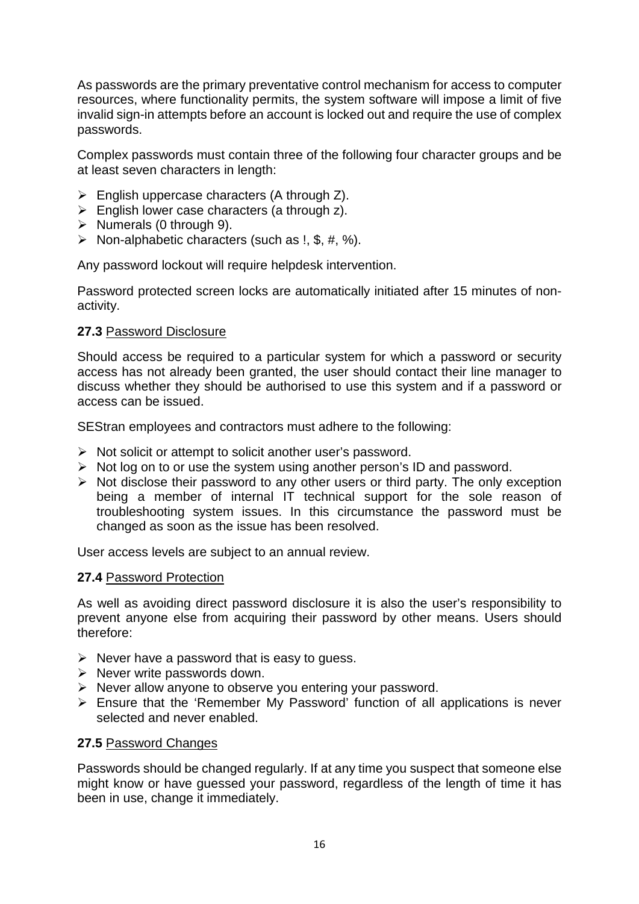As passwords are the primary preventative control mechanism for access to computer resources, where functionality permits, the system software will impose a limit of five invalid sign-in attempts before an account is locked out and require the use of complex passwords.

Complex passwords must contain three of the following four character groups and be at least seven characters in length:

- $\triangleright$  English uppercase characters (A through Z).
- $\triangleright$  English lower case characters (a through z).
- $\triangleright$  Numerals (0 through 9).
- $\triangleright$  Non-alphabetic characters (such as !, \$, #, %).

Any password lockout will require helpdesk intervention.

Password protected screen locks are automatically initiated after 15 minutes of nonactivity.

#### **27.3** Password Disclosure

Should access be required to a particular system for which a password or security access has not already been granted, the user should contact their line manager to discuss whether they should be authorised to use this system and if a password or access can be issued.

SEStran employees and contractors must adhere to the following:

- $\triangleright$  Not solicit or attempt to solicit another user's password.
- $\triangleright$  Not log on to or use the system using another person's ID and password.
- $\triangleright$  Not disclose their password to any other users or third party. The only exception being a member of internal IT technical support for the sole reason of troubleshooting system issues. In this circumstance the password must be changed as soon as the issue has been resolved.

User access levels are subject to an annual review.

#### **27.4** Password Protection

As well as avoiding direct password disclosure it is also the user's responsibility to prevent anyone else from acquiring their password by other means. Users should therefore:

- $\triangleright$  Never have a password that is easy to quess.
- $\triangleright$  Never write passwords down.
- $\triangleright$  Never allow anyone to observe you entering your password.
- Ensure that the 'Remember My Password' function of all applications is never selected and never enabled.

#### **27.5** Password Changes

Passwords should be changed regularly. If at any time you suspect that someone else might know or have guessed your password, regardless of the length of time it has been in use, change it immediately.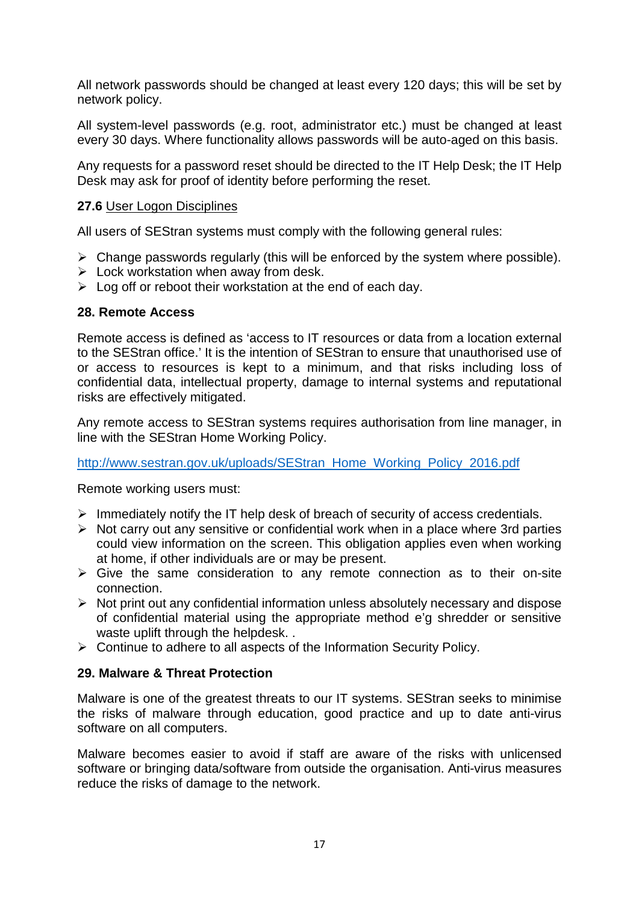All network passwords should be changed at least every 120 days; this will be set by network policy.

All system-level passwords (e.g. root, administrator etc.) must be changed at least every 30 days. Where functionality allows passwords will be auto-aged on this basis.

Any requests for a password reset should be directed to the IT Help Desk; the IT Help Desk may ask for proof of identity before performing the reset.

## **27.6** User Logon Disciplines

All users of SEStran systems must comply with the following general rules:

- $\triangleright$  Change passwords regularly (this will be enforced by the system where possible).
- $\triangleright$  Lock workstation when away from desk.
- $\triangleright$  Log off or reboot their workstation at the end of each day.

## **28. Remote Access**

Remote access is defined as 'access to IT resources or data from a location external to the SEStran office.' It is the intention of SEStran to ensure that unauthorised use of or access to resources is kept to a minimum, and that risks including loss of confidential data, intellectual property, damage to internal systems and reputational risks are effectively mitigated.

Any remote access to SEStran systems requires authorisation from line manager, in line with the SEStran Home Working Policy.

[http://www.sestran.gov.uk/uploads/SEStran\\_Home\\_Working\\_Policy\\_2016.pdf](http://www.sestran.gov.uk/uploads/SEStran_Home_Working_Policy_2016.pdf)

Remote working users must:

- $\triangleright$  Immediately notify the IT help desk of breach of security of access credentials.
- $\triangleright$  Not carry out any sensitive or confidential work when in a place where 3rd parties could view information on the screen. This obligation applies even when working at home, if other individuals are or may be present.
- $\triangleright$  Give the same consideration to any remote connection as to their on-site connection.
- $\triangleright$  Not print out any confidential information unless absolutely necessary and dispose of confidential material using the appropriate method e'g shredder or sensitive waste uplift through the helpdesk. .
- $\triangleright$  Continue to adhere to all aspects of the Information Security Policy.

## **29. Malware & Threat Protection**

Malware is one of the greatest threats to our IT systems. SEStran seeks to minimise the risks of malware through education, good practice and up to date anti-virus software on all computers.

Malware becomes easier to avoid if staff are aware of the risks with unlicensed software or bringing data/software from outside the organisation. Anti-virus measures reduce the risks of damage to the network.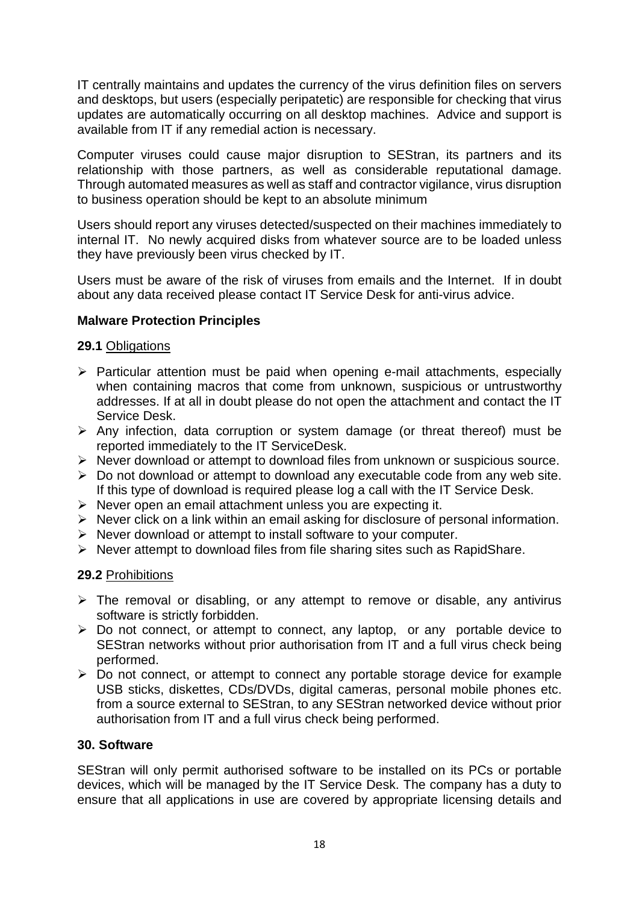IT centrally maintains and updates the currency of the virus definition files on servers and desktops, but users (especially peripatetic) are responsible for checking that virus updates are automatically occurring on all desktop machines. Advice and support is available from IT if any remedial action is necessary.

Computer viruses could cause major disruption to SEStran, its partners and its relationship with those partners, as well as considerable reputational damage. Through automated measures as well as staff and contractor vigilance, virus disruption to business operation should be kept to an absolute minimum

Users should report any viruses detected/suspected on their machines immediately to internal IT. No newly acquired disks from whatever source are to be loaded unless they have previously been virus checked by IT.

Users must be aware of the risk of viruses from emails and the Internet. If in doubt about any data received please contact IT Service Desk for anti-virus advice.

## **Malware Protection Principles**

## **29.1** Obligations

- $\triangleright$  Particular attention must be paid when opening e-mail attachments, especially when containing macros that come from unknown, suspicious or untrustworthy addresses. If at all in doubt please do not open the attachment and contact the IT Service Desk.
- $\triangleright$  Any infection, data corruption or system damage (or threat thereof) must be reported immediately to the IT ServiceDesk.
- $\triangleright$  Never download or attempt to download files from unknown or suspicious source.
- $\triangleright$  Do not download or attempt to download any executable code from any web site. If this type of download is required please log a call with the IT Service Desk.
- $\triangleright$  Never open an email attachment unless you are expecting it.
- $\triangleright$  Never click on a link within an email asking for disclosure of personal information.
- $\triangleright$  Never download or attempt to install software to your computer.
- $\triangleright$  Never attempt to download files from file sharing sites such as RapidShare.

## **29.2** Prohibitions

- $\triangleright$  The removal or disabling, or any attempt to remove or disable, any antivirus software is strictly forbidden.
- $\triangleright$  Do not connect, or attempt to connect, any laptop, or any portable device to SEStran networks without prior authorisation from IT and a full virus check being performed.
- $\triangleright$  Do not connect, or attempt to connect any portable storage device for example USB sticks, diskettes, CDs/DVDs, digital cameras, personal mobile phones etc. from a source external to SEStran, to any SEStran networked device without prior authorisation from IT and a full virus check being performed.

## **30. Software**

SEStran will only permit authorised software to be installed on its PCs or portable devices, which will be managed by the IT Service Desk. The company has a duty to ensure that all applications in use are covered by appropriate licensing details and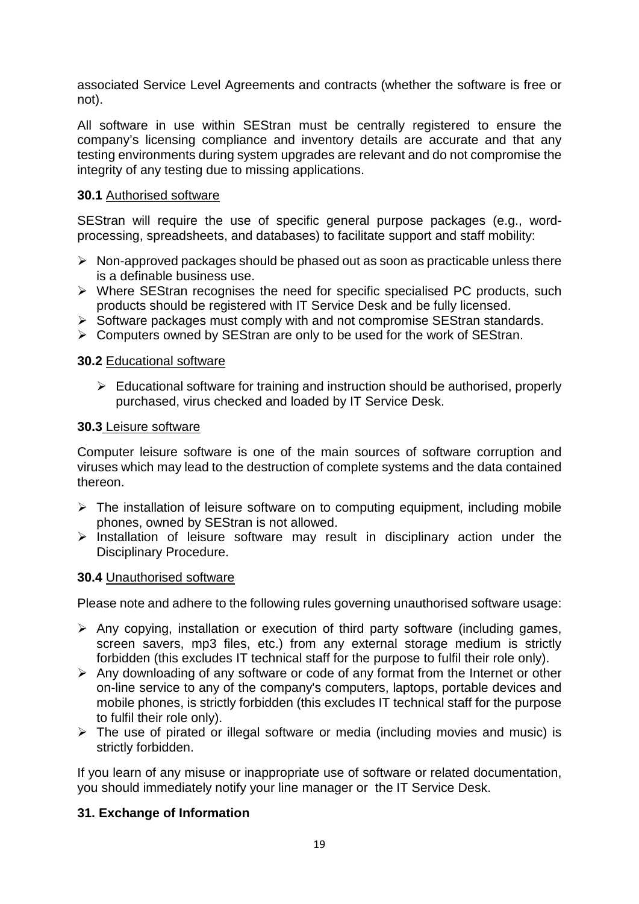associated Service Level Agreements and contracts (whether the software is free or not).

All software in use within SEStran must be centrally registered to ensure the company's licensing compliance and inventory details are accurate and that any testing environments during system upgrades are relevant and do not compromise the integrity of any testing due to missing applications.

#### **30.1** Authorised software

SEStran will require the use of specific general purpose packages (e.g., wordprocessing, spreadsheets, and databases) to facilitate support and staff mobility:

- $\triangleright$  Non-approved packages should be phased out as soon as practicable unless there is a definable business use.
- $\triangleright$  Where SEStran recognises the need for specific specialised PC products, such products should be registered with IT Service Desk and be fully licensed.
- $\triangleright$  Software packages must comply with and not compromise SEStran standards.
- Computers owned by SEStran are only to be used for the work of SEStran.

#### **30.2** Educational software

 $\triangleright$  Educational software for training and instruction should be authorised, properly purchased, virus checked and loaded by IT Service Desk.

#### **30.3** Leisure software

Computer leisure software is one of the main sources of software corruption and viruses which may lead to the destruction of complete systems and the data contained thereon.

- > The installation of leisure software on to computing equipment, including mobile phones, owned by SEStran is not allowed.
- $\triangleright$  Installation of leisure software may result in disciplinary action under the Disciplinary Procedure.

## **30.4** Unauthorised software

Please note and adhere to the following rules governing unauthorised software usage:

- $\triangleright$  Any copying, installation or execution of third party software (including games, screen savers, mp3 files, etc.) from any external storage medium is strictly forbidden (this excludes IT technical staff for the purpose to fulfil their role only).
- $\triangleright$  Any downloading of any software or code of any format from the Internet or other on-line service to any of the company's computers, laptops, portable devices and mobile phones, is strictly forbidden (this excludes IT technical staff for the purpose to fulfil their role only).
- $\triangleright$  The use of pirated or illegal software or media (including movies and music) is strictly forbidden.

If you learn of any misuse or inappropriate use of software or related documentation, you should immediately notify your line manager or the IT Service Desk.

## **31. Exchange of Information**